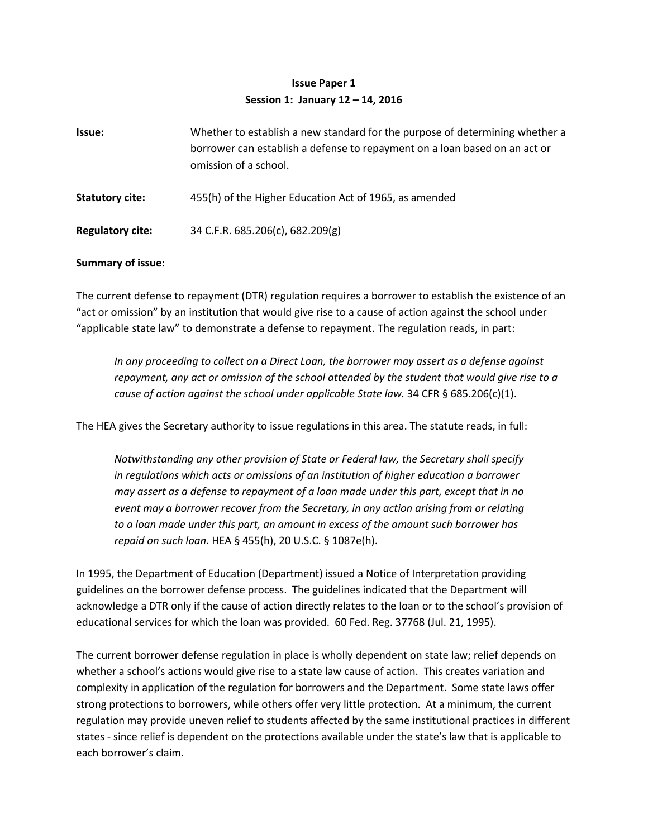## **Issue Paper 1 Session 1: January 12 – 14, 2016**

| Issue:                  | Whether to establish a new standard for the purpose of determining whether a<br>borrower can establish a defense to repayment on a loan based on an act or<br>omission of a school. |
|-------------------------|-------------------------------------------------------------------------------------------------------------------------------------------------------------------------------------|
| <b>Statutory cite:</b>  | 455(h) of the Higher Education Act of 1965, as amended                                                                                                                              |
| <b>Regulatory cite:</b> | 34 C.F.R. 685.206(c), 682.209(g)                                                                                                                                                    |

## **Summary of issue:**

The current defense to repayment (DTR) regulation requires a borrower to establish the existence of an "act or omission" by an institution that would give rise to a cause of action against the school under "applicable state law" to demonstrate a defense to repayment. The regulation reads, in part:

*In any proceeding to collect on a Direct Loan, the borrower may assert as a defense against repayment, any act or omission of the school attended by the student that would give rise to a cause of action against the school under applicable State law.* 34 CFR § 685.206(c)(1).

The HEA gives the Secretary authority to issue regulations in this area. The statute reads, in full:

*Notwithstanding any other provision of State or Federal law, the Secretary shall specify in regulations which acts or omissions of an institution of higher education a borrower may assert as a defense to repayment of a loan made under this part, except that in no event may a borrower recover from the Secretary, in any action arising from or relating to a loan made under this part, an amount in excess of the amount such borrower has repaid on such loan.* HEA § 455(h), 20 U.S.C. § 1087e(h).

In 1995, the Department of Education (Department) issued a Notice of Interpretation providing guidelines on the borrower defense process. The guidelines indicated that the Department will acknowledge a DTR only if the cause of action directly relates to the loan or to the school's provision of educational services for which the loan was provided. 60 Fed. Reg. 37768 (Jul. 21, 1995).

The current borrower defense regulation in place is wholly dependent on state law; relief depends on whether a school's actions would give rise to a state law cause of action. This creates variation and complexity in application of the regulation for borrowers and the Department. Some state laws offer strong protections to borrowers, while others offer very little protection. At a minimum, the current regulation may provide uneven relief to students affected by the same institutional practices in different states - since relief is dependent on the protections available under the state's law that is applicable to each borrower's claim.